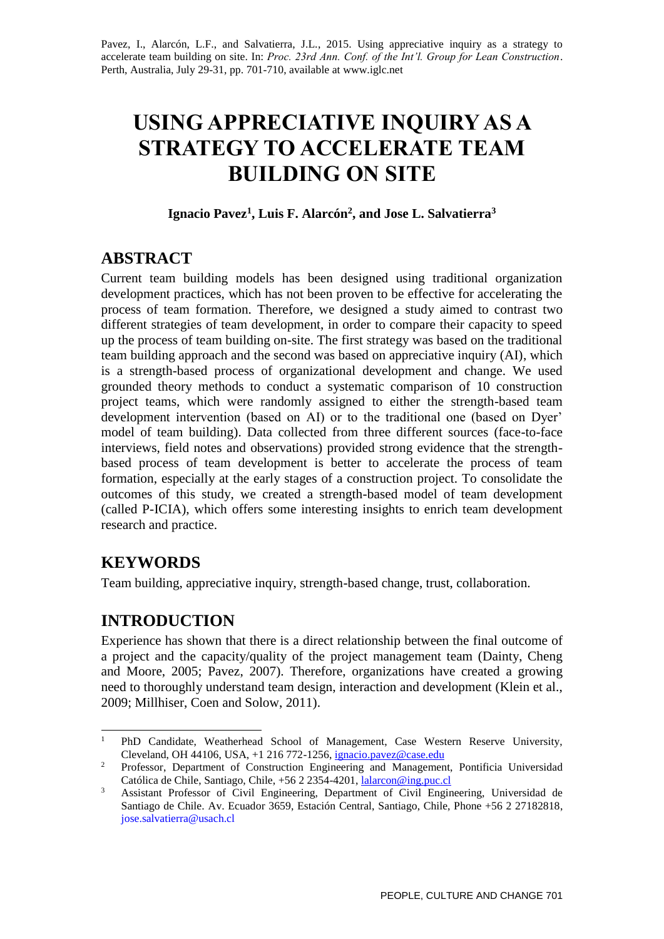Pavez, I., Alarcón, L.F., and Salvatierra, J.L., 2015. Using appreciative inquiry as a strategy to accelerate team building on site. In: *Proc. 23rd Ann. Conf. of the Int'l. Group for Lean Construction*. Perth, Australia, July 29-31, pp. 701-710, available a[t www.iglc.net](http://www.iglc.net/)

# **USING APPRECIATIVE INQUIRY AS A STRATEGY TO ACCELERATE TEAM BUILDING ON SITE**

### **Ignacio Pavez<sup>1</sup> , Luis F. Alarcón<sup>2</sup> , and Jose L. Salvatierra<sup>3</sup>**

# **ABSTRACT**

Current team building models has been designed using traditional organization development practices, which has not been proven to be effective for accelerating the process of team formation. Therefore, we designed a study aimed to contrast two different strategies of team development, in order to compare their capacity to speed up the process of team building on-site. The first strategy was based on the traditional team building approach and the second was based on appreciative inquiry (AI), which is a strength-based process of organizational development and change. We used grounded theory methods to conduct a systematic comparison of 10 construction project teams, which were randomly assigned to either the strength-based team development intervention (based on AI) or to the traditional one (based on Dyer' model of team building). Data collected from three different sources (face-to-face interviews, field notes and observations) provided strong evidence that the strengthbased process of team development is better to accelerate the process of team formation, especially at the early stages of a construction project. To consolidate the outcomes of this study, we created a strength-based model of team development (called P-ICIA), which offers some interesting insights to enrich team development research and practice.

# **KEYWORDS**

Team building, appreciative inquiry, strength-based change, trust, collaboration.

# **INTRODUCTION**

Experience has shown that there is a direct relationship between the final outcome of a project and the capacity/quality of the project management team (Dainty, Cheng and Moore, 2005; Pavez, 2007). Therefore, organizations have created a growing need to thoroughly understand team design, interaction and development (Klein et al., 2009; Millhiser, Coen and Solow, 2011).

 $\mathbf{1}$ <sup>1</sup> PhD Candidate, Weatherhead School of Management, Case Western Reserve University, Cleveland, OH 44106, USA, +1 216 772-1256, [ignacio.pavez@case.edu](mailto:ignacio.pavez@case.edu)

<sup>&</sup>lt;sup>2</sup> Professor, Department of Construction Engineering and Management, Pontificia Universidad Católica de Chile, Santiago, Chile, +56 2 2354-4201, [lalarcon@ing.puc.cl](mailto:lalarcon@ing.puc.cl)

<sup>&</sup>lt;sup>3</sup> Assistant Professor of Civil Engineering, Department of Civil Engineering, Universidad de Santiago de Chile. Av. Ecuador 3659, Estación Central, Santiago, Chile, Phone +56 2 27182818, jose.salvatierra@usach.cl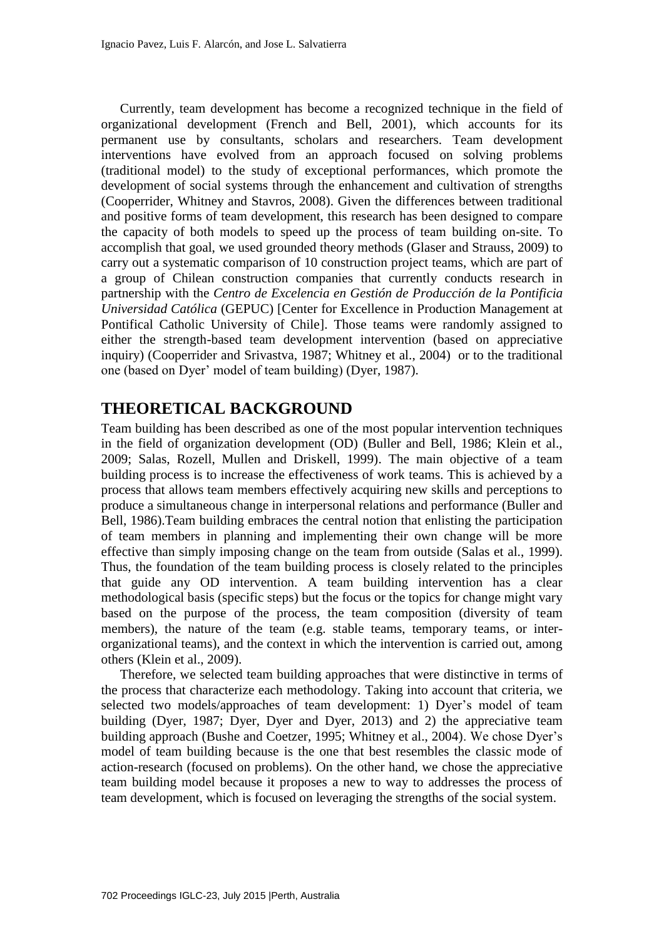Currently, team development has become a recognized technique in the field of organizational development (French and Bell, 2001), which accounts for its permanent use by consultants, scholars and researchers. Team development interventions have evolved from an approach focused on solving problems (traditional model) to the study of exceptional performances, which promote the development of social systems through the enhancement and cultivation of strengths (Cooperrider, Whitney and Stavros, 2008). Given the differences between traditional and positive forms of team development, this research has been designed to compare the capacity of both models to speed up the process of team building on-site. To accomplish that goal, we used grounded theory methods (Glaser and Strauss, 2009) to carry out a systematic comparison of 10 construction project teams, which are part of a group of Chilean construction companies that currently conducts research in partnership with the *Centro de Excelencia en Gestión de Producción de la Pontificia Universidad Católica* (GEPUC) [Center for Excellence in Production Management at Pontifical Catholic University of Chile]. Those teams were randomly assigned to either the strength-based team development intervention (based on appreciative inquiry) (Cooperrider and Srivastva, 1987; Whitney et al., 2004) or to the traditional one (based on Dyer' model of team building) (Dyer, 1987).

# **THEORETICAL BACKGROUND**

Team building has been described as one of the most popular intervention techniques in the field of organization development (OD) (Buller and Bell, 1986; Klein et al., 2009; Salas, Rozell, Mullen and Driskell, 1999). The main objective of a team building process is to increase the effectiveness of work teams. This is achieved by a process that allows team members effectively acquiring new skills and perceptions to produce a simultaneous change in interpersonal relations and performance (Buller and Bell, 1986).Team building embraces the central notion that enlisting the participation of team members in planning and implementing their own change will be more effective than simply imposing change on the team from outside (Salas et al., 1999). Thus, the foundation of the team building process is closely related to the principles that guide any OD intervention. A team building intervention has a clear methodological basis (specific steps) but the focus or the topics for change might vary based on the purpose of the process, the team composition (diversity of team members), the nature of the team (e.g. stable teams, temporary teams, or interorganizational teams), and the context in which the intervention is carried out, among others (Klein et al., 2009).

Therefore, we selected team building approaches that were distinctive in terms of the process that characterize each methodology. Taking into account that criteria, we selected two models/approaches of team development: 1) Dyer's model of team building (Dyer, 1987; Dyer, Dyer and Dyer, 2013) and 2) the appreciative team building approach (Bushe and Coetzer, 1995; Whitney et al., 2004). We chose Dyer's model of team building because is the one that best resembles the classic mode of action-research (focused on problems). On the other hand, we chose the appreciative team building model because it proposes a new to way to addresses the process of team development, which is focused on leveraging the strengths of the social system.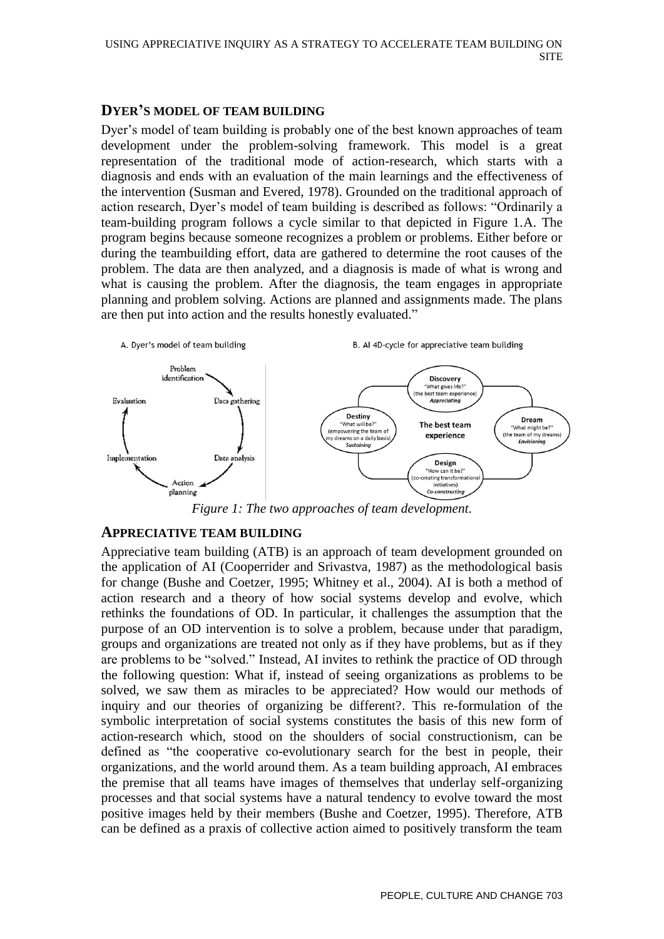### **DYER'S MODEL OF TEAM BUILDING**

Dyer's model of team building is probably one of the best known approaches of team development under the problem-solving framework. This model is a great representation of the traditional mode of action-research, which starts with a diagnosis and ends with an evaluation of the main learnings and the effectiveness of the intervention (Susman and Evered, 1978). Grounded on the traditional approach of action research, Dyer's model of team building is described as follows: "Ordinarily a team-building program follows a cycle similar to that depicted in Figure 1.A. The program begins because someone recognizes a problem or problems. Either before or during the teambuilding effort, data are gathered to determine the root causes of the problem. The data are then analyzed, and a diagnosis is made of what is wrong and what is causing the problem. After the diagnosis, the team engages in appropriate planning and problem solving. Actions are planned and assignments made. The plans are then put into action and the results honestly evaluated."



*Figure 1: The two approaches of team development.*

### **APPRECIATIVE TEAM BUILDING**

Appreciative team building (ATB) is an approach of team development grounded on the application of AI (Cooperrider and Srivastva, 1987) as the methodological basis for change (Bushe and Coetzer, 1995; Whitney et al., 2004). AI is both a method of action research and a theory of how social systems develop and evolve, which rethinks the foundations of OD. In particular, it challenges the assumption that the purpose of an OD intervention is to solve a problem, because under that paradigm, groups and organizations are treated not only as if they have problems, but as if they are problems to be "solved." Instead, AI invites to rethink the practice of OD through the following question: What if, instead of seeing organizations as problems to be solved, we saw them as miracles to be appreciated? How would our methods of inquiry and our theories of organizing be different?. This re-formulation of the symbolic interpretation of social systems constitutes the basis of this new form of action-research which, stood on the shoulders of social constructionism, can be defined as "the cooperative co-evolutionary search for the best in people, their organizations, and the world around them. As a team building approach, AI embraces the premise that all teams have images of themselves that underlay self-organizing processes and that social systems have a natural tendency to evolve toward the most positive images held by their members (Bushe and Coetzer, 1995). Therefore, ATB can be defined as a praxis of collective action aimed to positively transform the team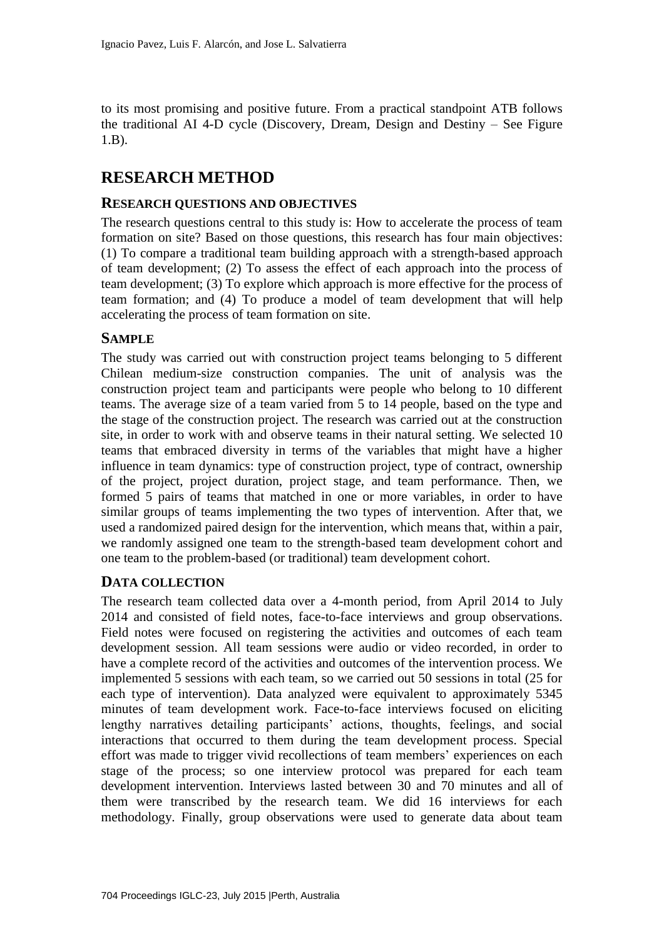to its most promising and positive future. From a practical standpoint ATB follows the traditional AI 4-D cycle (Discovery, Dream, Design and Destiny – See Figure 1.B).

# **RESEARCH METHOD**

### **RESEARCH QUESTIONS AND OBJECTIVES**

The research questions central to this study is: How to accelerate the process of team formation on site? Based on those questions, this research has four main objectives: (1) To compare a traditional team building approach with a strength-based approach of team development; (2) To assess the effect of each approach into the process of team development; (3) To explore which approach is more effective for the process of team formation; and (4) To produce a model of team development that will help accelerating the process of team formation on site.

### **SAMPLE**

The study was carried out with construction project teams belonging to 5 different Chilean medium-size construction companies. The unit of analysis was the construction project team and participants were people who belong to 10 different teams. The average size of a team varied from 5 to 14 people, based on the type and the stage of the construction project. The research was carried out at the construction site, in order to work with and observe teams in their natural setting. We selected 10 teams that embraced diversity in terms of the variables that might have a higher influence in team dynamics: type of construction project, type of contract, ownership of the project, project duration, project stage, and team performance. Then, we formed 5 pairs of teams that matched in one or more variables, in order to have similar groups of teams implementing the two types of intervention. After that, we used a randomized paired design for the intervention, which means that, within a pair, we randomly assigned one team to the strength-based team development cohort and one team to the problem-based (or traditional) team development cohort.

### **DATA COLLECTION**

The research team collected data over a 4-month period, from April 2014 to July 2014 and consisted of field notes, face-to-face interviews and group observations. Field notes were focused on registering the activities and outcomes of each team development session. All team sessions were audio or video recorded, in order to have a complete record of the activities and outcomes of the intervention process. We implemented 5 sessions with each team, so we carried out 50 sessions in total (25 for each type of intervention). Data analyzed were equivalent to approximately 5345 minutes of team development work. Face-to-face interviews focused on eliciting lengthy narratives detailing participants' actions, thoughts, feelings, and social interactions that occurred to them during the team development process. Special effort was made to trigger vivid recollections of team members' experiences on each stage of the process; so one interview protocol was prepared for each team development intervention. Interviews lasted between 30 and 70 minutes and all of them were transcribed by the research team. We did 16 interviews for each methodology. Finally, group observations were used to generate data about team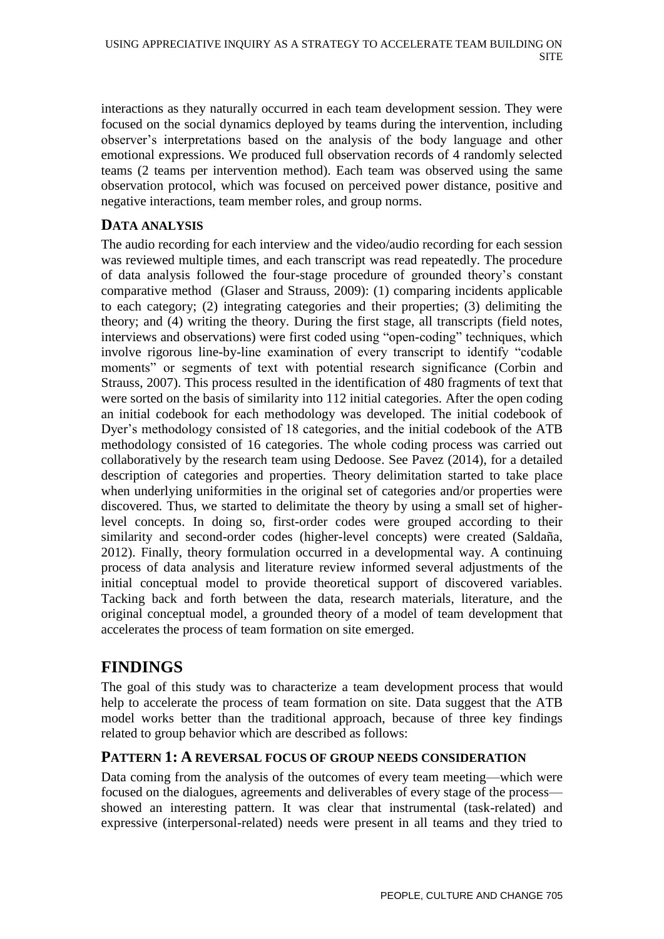interactions as they naturally occurred in each team development session. They were focused on the social dynamics deployed by teams during the intervention, including observer's interpretations based on the analysis of the body language and other emotional expressions. We produced full observation records of 4 randomly selected teams (2 teams per intervention method). Each team was observed using the same observation protocol, which was focused on perceived power distance, positive and negative interactions, team member roles, and group norms.

### **DATA ANALYSIS**

The audio recording for each interview and the video/audio recording for each session was reviewed multiple times, and each transcript was read repeatedly. The procedure of data analysis followed the four-stage procedure of grounded theory's constant comparative method (Glaser and Strauss, 2009): (1) comparing incidents applicable to each category; (2) integrating categories and their properties; (3) delimiting the theory; and (4) writing the theory. During the first stage, all transcripts (field notes, interviews and observations) were first coded using "open-coding" techniques, which involve rigorous line-by-line examination of every transcript to identify "codable moments" or segments of text with potential research significance (Corbin and Strauss, 2007). This process resulted in the identification of 480 fragments of text that were sorted on the basis of similarity into 112 initial categories. After the open coding an initial codebook for each methodology was developed. The initial codebook of Dyer's methodology consisted of 18 categories, and the initial codebook of the ATB methodology consisted of 16 categories. The whole coding process was carried out collaboratively by the research team using Dedoose. See Pavez (2014), for a detailed description of categories and properties. Theory delimitation started to take place when underlying uniformities in the original set of categories and/or properties were discovered. Thus, we started to delimitate the theory by using a small set of higherlevel concepts. In doing so, first-order codes were grouped according to their similarity and second-order codes (higher-level concepts) were created (Saldaña, 2012). Finally, theory formulation occurred in a developmental way. A continuing process of data analysis and literature review informed several adjustments of the initial conceptual model to provide theoretical support of discovered variables. Tacking back and forth between the data, research materials, literature, and the original conceptual model, a grounded theory of a model of team development that accelerates the process of team formation on site emerged.

# **FINDINGS**

The goal of this study was to characterize a team development process that would help to accelerate the process of team formation on site. Data suggest that the ATB model works better than the traditional approach, because of three key findings related to group behavior which are described as follows:

### **PATTERN 1: A REVERSAL FOCUS OF GROUP NEEDS CONSIDERATION**

Data coming from the analysis of the outcomes of every team meeting—which were focused on the dialogues, agreements and deliverables of every stage of the process showed an interesting pattern. It was clear that instrumental (task-related) and expressive (interpersonal-related) needs were present in all teams and they tried to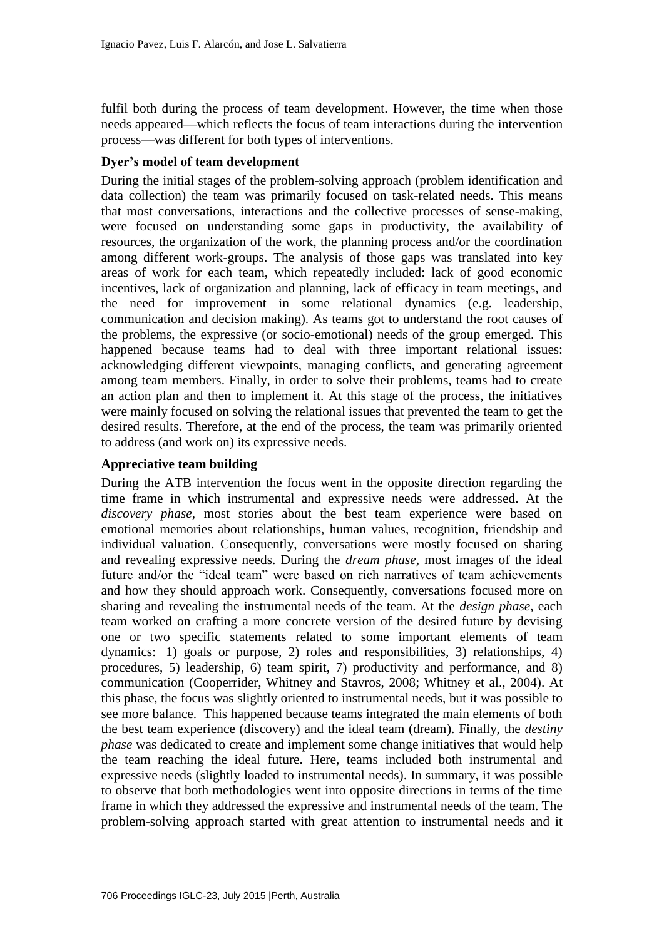fulfil both during the process of team development. However, the time when those needs appeared—which reflects the focus of team interactions during the intervention process—was different for both types of interventions.

#### **Dyer's model of team development**

During the initial stages of the problem-solving approach (problem identification and data collection) the team was primarily focused on task-related needs. This means that most conversations, interactions and the collective processes of sense-making, were focused on understanding some gaps in productivity, the availability of resources, the organization of the work, the planning process and/or the coordination among different work-groups. The analysis of those gaps was translated into key areas of work for each team, which repeatedly included: lack of good economic incentives, lack of organization and planning, lack of efficacy in team meetings, and the need for improvement in some relational dynamics (e.g. leadership, communication and decision making). As teams got to understand the root causes of the problems, the expressive (or socio-emotional) needs of the group emerged. This happened because teams had to deal with three important relational issues: acknowledging different viewpoints, managing conflicts, and generating agreement among team members. Finally, in order to solve their problems, teams had to create an action plan and then to implement it. At this stage of the process, the initiatives were mainly focused on solving the relational issues that prevented the team to get the desired results. Therefore, at the end of the process, the team was primarily oriented to address (and work on) its expressive needs.

### **Appreciative team building**

During the ATB intervention the focus went in the opposite direction regarding the time frame in which instrumental and expressive needs were addressed. At the *discovery phase*, most stories about the best team experience were based on emotional memories about relationships, human values, recognition, friendship and individual valuation. Consequently, conversations were mostly focused on sharing and revealing expressive needs. During the *dream phase*, most images of the ideal future and/or the "ideal team" were based on rich narratives of team achievements and how they should approach work. Consequently, conversations focused more on sharing and revealing the instrumental needs of the team. At the *design phase*, each team worked on crafting a more concrete version of the desired future by devising one or two specific statements related to some important elements of team dynamics: 1) goals or purpose, 2) roles and responsibilities, 3) relationships, 4) procedures, 5) leadership, 6) team spirit, 7) productivity and performance, and 8) communication (Cooperrider, Whitney and Stavros, 2008; Whitney et al., 2004). At this phase, the focus was slightly oriented to instrumental needs, but it was possible to see more balance. This happened because teams integrated the main elements of both the best team experience (discovery) and the ideal team (dream). Finally, the *destiny phase* was dedicated to create and implement some change initiatives that would help the team reaching the ideal future. Here, teams included both instrumental and expressive needs (slightly loaded to instrumental needs). In summary, it was possible to observe that both methodologies went into opposite directions in terms of the time frame in which they addressed the expressive and instrumental needs of the team. The problem-solving approach started with great attention to instrumental needs and it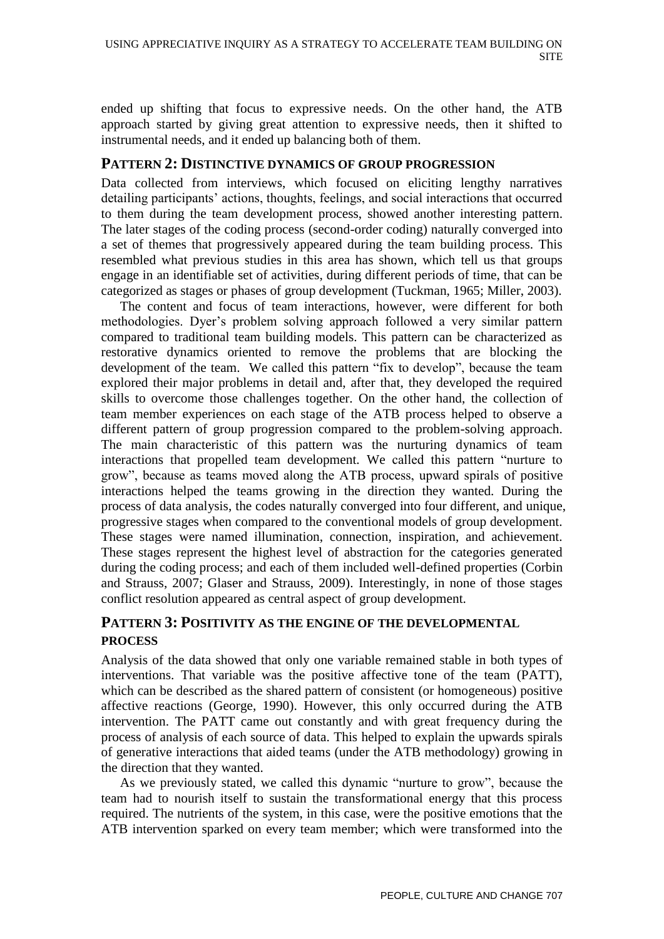ended up shifting that focus to expressive needs. On the other hand, the ATB approach started by giving great attention to expressive needs, then it shifted to instrumental needs, and it ended up balancing both of them.

### **PATTERN 2: DISTINCTIVE DYNAMICS OF GROUP PROGRESSION**

Data collected from interviews, which focused on eliciting lengthy narratives detailing participants' actions, thoughts, feelings, and social interactions that occurred to them during the team development process, showed another interesting pattern. The later stages of the coding process (second-order coding) naturally converged into a set of themes that progressively appeared during the team building process. This resembled what previous studies in this area has shown, which tell us that groups engage in an identifiable set of activities, during different periods of time, that can be categorized as stages or phases of group development (Tuckman, 1965; Miller, 2003).

The content and focus of team interactions, however, were different for both methodologies. Dyer's problem solving approach followed a very similar pattern compared to traditional team building models. This pattern can be characterized as restorative dynamics oriented to remove the problems that are blocking the development of the team. We called this pattern "fix to develop", because the team explored their major problems in detail and, after that, they developed the required skills to overcome those challenges together. On the other hand, the collection of team member experiences on each stage of the ATB process helped to observe a different pattern of group progression compared to the problem-solving approach. The main characteristic of this pattern was the nurturing dynamics of team interactions that propelled team development. We called this pattern "nurture to grow", because as teams moved along the ATB process, upward spirals of positive interactions helped the teams growing in the direction they wanted. During the process of data analysis, the codes naturally converged into four different, and unique, progressive stages when compared to the conventional models of group development. These stages were named illumination, connection, inspiration, and achievement. These stages represent the highest level of abstraction for the categories generated during the coding process; and each of them included well-defined properties (Corbin and Strauss, 2007; Glaser and Strauss, 2009). Interestingly, in none of those stages conflict resolution appeared as central aspect of group development.

### **PATTERN 3: POSITIVITY AS THE ENGINE OF THE DEVELOPMENTAL PROCESS**

Analysis of the data showed that only one variable remained stable in both types of interventions. That variable was the positive affective tone of the team (PATT), which can be described as the shared pattern of consistent (or homogeneous) positive affective reactions (George, 1990). However, this only occurred during the ATB intervention. The PATT came out constantly and with great frequency during the process of analysis of each source of data. This helped to explain the upwards spirals of generative interactions that aided teams (under the ATB methodology) growing in the direction that they wanted.

As we previously stated, we called this dynamic "nurture to grow", because the team had to nourish itself to sustain the transformational energy that this process required. The nutrients of the system, in this case, were the positive emotions that the ATB intervention sparked on every team member; which were transformed into the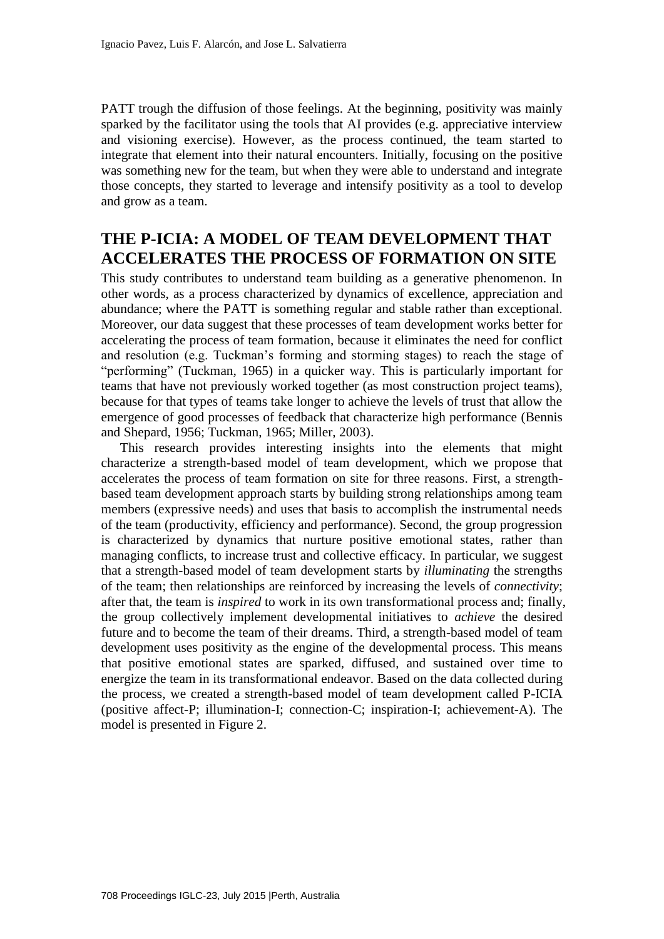PATT trough the diffusion of those feelings. At the beginning, positivity was mainly sparked by the facilitator using the tools that AI provides (e.g. appreciative interview and visioning exercise). However, as the process continued, the team started to integrate that element into their natural encounters. Initially, focusing on the positive was something new for the team, but when they were able to understand and integrate those concepts, they started to leverage and intensify positivity as a tool to develop and grow as a team.

# **THE P-ICIA: A MODEL OF TEAM DEVELOPMENT THAT ACCELERATES THE PROCESS OF FORMATION ON SITE**

This study contributes to understand team building as a generative phenomenon. In other words, as a process characterized by dynamics of excellence, appreciation and abundance; where the PATT is something regular and stable rather than exceptional. Moreover, our data suggest that these processes of team development works better for accelerating the process of team formation, because it eliminates the need for conflict and resolution (e.g. Tuckman's forming and storming stages) to reach the stage of "performing" (Tuckman, 1965) in a quicker way. This is particularly important for teams that have not previously worked together (as most construction project teams), because for that types of teams take longer to achieve the levels of trust that allow the emergence of good processes of feedback that characterize high performance (Bennis and Shepard, 1956; Tuckman, 1965; Miller, 2003).

This research provides interesting insights into the elements that might characterize a strength-based model of team development, which we propose that accelerates the process of team formation on site for three reasons. First, a strengthbased team development approach starts by building strong relationships among team members (expressive needs) and uses that basis to accomplish the instrumental needs of the team (productivity, efficiency and performance). Second, the group progression is characterized by dynamics that nurture positive emotional states, rather than managing conflicts, to increase trust and collective efficacy. In particular, we suggest that a strength-based model of team development starts by *illuminating* the strengths of the team; then relationships are reinforced by increasing the levels of *connectivity*; after that, the team is *inspired* to work in its own transformational process and; finally, the group collectively implement developmental initiatives to *achieve* the desired future and to become the team of their dreams. Third, a strength-based model of team development uses positivity as the engine of the developmental process. This means that positive emotional states are sparked, diffused, and sustained over time to energize the team in its transformational endeavor. Based on the data collected during the process, we created a strength-based model of team development called P-ICIA (positive affect-P; illumination-I; connection-C; inspiration-I; achievement-A). The model is presented in Figure 2.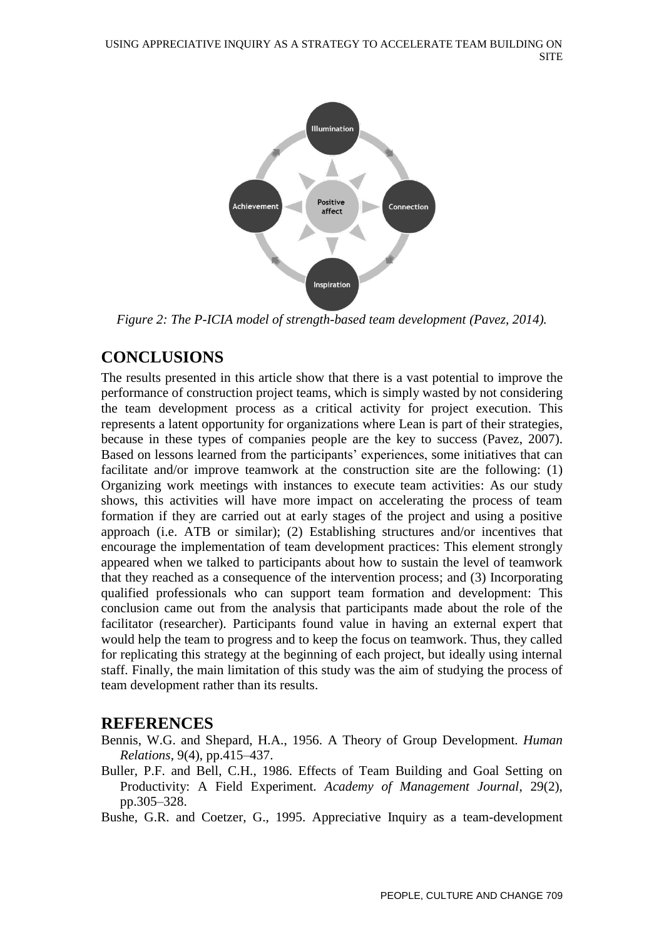

*Figure 2: The P-ICIA model of strength-based team development (Pavez, 2014).*

# **CONCLUSIONS**

The results presented in this article show that there is a vast potential to improve the performance of construction project teams, which is simply wasted by not considering the team development process as a critical activity for project execution. This represents a latent opportunity for organizations where Lean is part of their strategies, because in these types of companies people are the key to success (Pavez, 2007). Based on lessons learned from the participants' experiences, some initiatives that can facilitate and/or improve teamwork at the construction site are the following: (1) Organizing work meetings with instances to execute team activities: As our study shows, this activities will have more impact on accelerating the process of team formation if they are carried out at early stages of the project and using a positive approach (i.e. ATB or similar); (2) Establishing structures and/or incentives that encourage the implementation of team development practices: This element strongly appeared when we talked to participants about how to sustain the level of teamwork that they reached as a consequence of the intervention process; and (3) Incorporating qualified professionals who can support team formation and development: This conclusion came out from the analysis that participants made about the role of the facilitator (researcher). Participants found value in having an external expert that would help the team to progress and to keep the focus on teamwork. Thus, they called for replicating this strategy at the beginning of each project, but ideally using internal staff. Finally, the main limitation of this study was the aim of studying the process of team development rather than its results.

## **REFERENCES**

- Bennis, W.G. and Shepard, H.A., 1956. A Theory of Group Development. *Human Relations*, 9(4), pp.415–437.
- Buller, P.F. and Bell, C.H., 1986. Effects of Team Building and Goal Setting on Productivity: A Field Experiment. *Academy of Management Journal*, 29(2), pp.305–328.

Bushe, G.R. and Coetzer, G., 1995. Appreciative Inquiry as a team-development